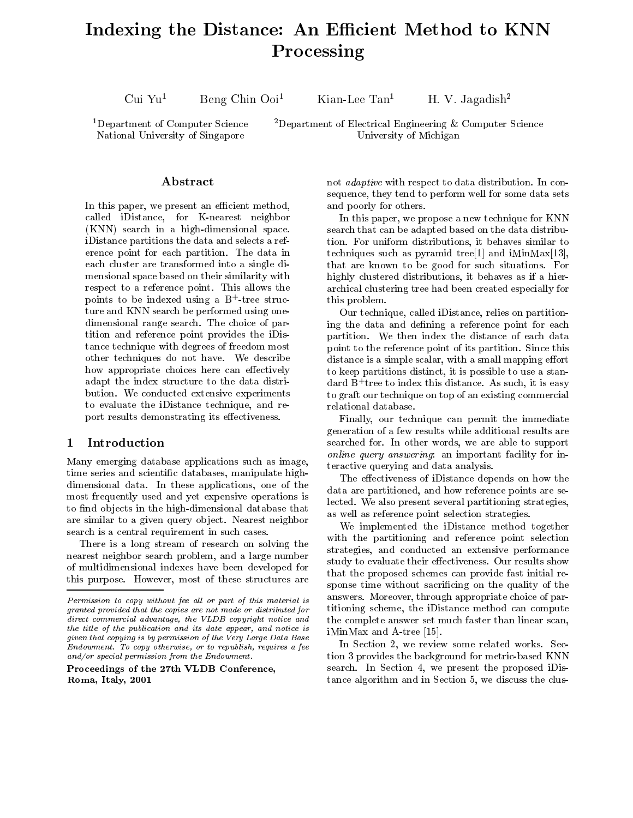# Indexing the Distance: An Efficient Method to KNN Processing

Cui Yu<sup>1</sup> Beng Chin Ooi<sup>1</sup> Kian-Lee Tan<sup>1</sup> H. V. Jagadish<sup>2</sup>

1Department of Computer Science National University of Singapore

<sup>2</sup>Department of Electrical Engineering  $&$  Computer Science University of Michigan

#### Abstract

In this paper, we present an efficient method, called iDistance, for K-nearest neighbor (KNN) search in a high-dimensional space. iDistance partitions the data and selects a reference point for each partition. The data in each cluster are transformed into a single dimensional space based on their similarity with respect to a reference point. This allows the points to be indexed using a B+ -tree structure and KNN search be performed using onedimensional range search. The choice of partition and reference point provides the iDistance technique with degrees of freedom most other techniques do not have. We describe how appropriate choices here can effectively adapt the index structure to the data distribution. We conducted extensive experiments to evaluate the iDistance technique, and report results demonstrating its effectiveness.

### 1 Introduction

Many emerging database applications such as image, time series and scientic databases, manipulate highdimensional data. In these applications, one of the most frequently used and yet expensive operations is to find objects in the high-dimensional database that are similar to a given query ob ject. Nearest neighbor search is a central requirement in such cases.

There is a long stream of research on solving the nearest neighbor search problem, and alarge number of multidimensional indexes have been developed for this purpose. However, most of these structures are

Proceedings of the 27th VLDB Conference, Roma, Italy, <sup>2001</sup>

not adaptive with respect to data distribution. In consequence, they tend to perform well for some data sets and poorly for others.

In this paper, we propose a new technique for KNN search that can be adapted based on the data distribution. For uniform distributions, it behaves similar to techniques such as pyramid tree<sup>[1]</sup> and iMinMax<sup>[13]</sup>, that are known to be good for such situations. For highly clustered distributions, it behaves as if a hierarchical clustering tree had been created especially for this problem.

Our technique, called iDistance, relies on partitioning the data and defining a reference point for each partition. We then index the distance of each data point to the reference point of its partition. Since this distance is a simple scalar, with a small mapping effort to keep partitions distinct, it is possible to use a standard B<sup>+</sup> tree to index this distance. As such, it is easy to graft our technique on top of an existing commercial relational database.

Finally, our technique can permit the immediate generation of a few results while additional results are searched for. In other words, we are able to support online query answering: an important facility for interactive querying and data analysis.

The effectiveness of iDistance depends on how the data are partitioned, and how reference points are selected. We also present several partitioning strategies, as well as reference point selection strategies.

We implemented the iDistance method together with the partitioning and reference point selection strategies, and conducted an extensive performance study to evaluate their effectiveness. Our results show that the proposed schemes can provide fast initial response time without sacricing on the quality of the answers. Moreover, through appropriate choice of partitioning scheme, the iDistance method can compute the complete answer set much faster than linear scan, iMinMax and A-tree [15].

In Section 2, we review some related works. Section 3 provides the background for metric-based KNN search. In Section 4, we present the proposed iDistance algorithm and in Section 5, we discuss the clus-

rermission to copy without fee all or part of this material is granted provided that the copies are not made or distributed for direct commercial advantage, the VLDB copyright notice and and line stational the title of the publication and its date appear, and notice is given that copying is by permission of the Very Large Data Base Data Base Base Data Base Data Base Data Base D Endowment. To copy otherwise, or to republish, requires <sup>a</sup> fee and a special permission from the Endowment of the Endowment.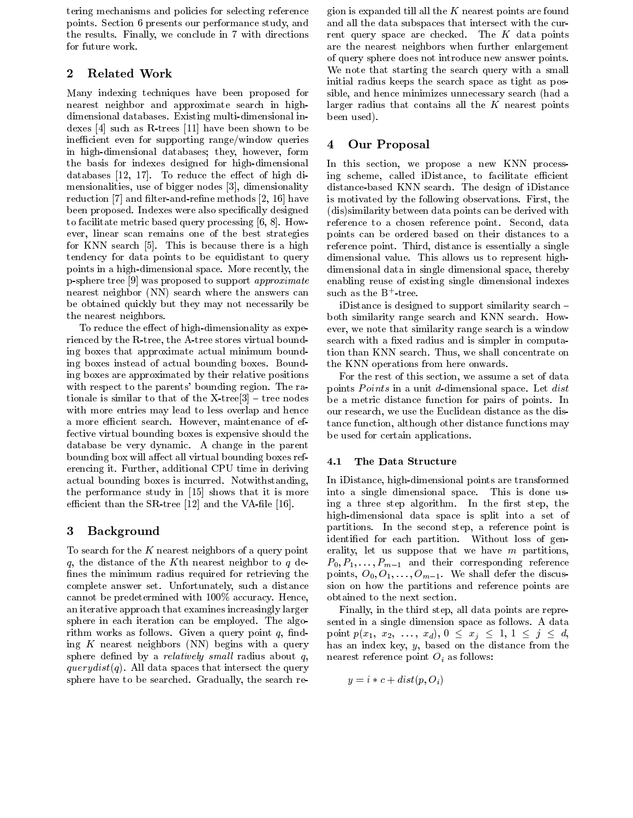tering mechanisms and policies for selecting reference points. Section 6 presents our performance study, and the results. Finally, we conclude in 7 with directions for future work.

# 2 Related Work

Many indexing techniques have been proposed for nearest neighbor and approximate search in highdimensional databases. Existing multi-dimensional indexes [4] such as R-trees [11] have been shown to be inefficient even for supporting range/window queries  $4$ in high-dimensional databases; they, however, form the basis for indexes designed for high-dimensional databases  $[12, 17]$ . To reduce the effect of high dimensionalities, use of bigger nodes [3], dimensionality reduction  $[7]$  and filter-and-refine methods  $[2, 16]$  have been proposed. Indexes were also specically designed to facilitate metric based query processing [6, 8]. How ever, linear scan remains one of the best strategies for KNN search [5]. This is because there is a high tendency for data points to be equidistant to query points in ahigh-dimensional space. More recently, the p-sphere tree [9] was proposed to support approximate nearest neighbor (NN) search where the answers can be obtained quickly but they may not necessarily be the nearest neighbors.

To reduce the effect of high-dimensionality as experienced by the R-tree, the A-tree stores virtual bounding boxes that approximate actual minimum bounding boxes instead of actual bounding boxes. Bounding boxes are approximated by their relative positions with respect to the parents' bounding region. The rationale is similar to that of the X-tree<sup>[3]</sup>  $-$  tree nodes with more entries may lead to less overlap and hence a more efficient search. However, maintenance of effective virtual bounding boxes is expensive should the database be very dynamic. A change in the parent bounding box will affect all virtual bounding boxes ref- $\qquad \qquad \textbf{4.1}$ erencing it. Further, additional CPU time in deriving actual bounding boxes is incurred. Notwithstanding, the performance study in [15] shows that it is more efficient than the SR-tree  $[12]$  and the VA-file  $[16]$ .

# 3 Background

To search for the  $K$  nearest neighbors of a query point q, the distance of the Kth nearest neighbor to  $q$  defines the minimum radius required for retrieving the complete answer set. Unfortunately, such a distance cannot be predetermined with 100% accuracy. Hence, an iterative approach that examines increasingly larger sphere in each iteration can be employed. The algorithm works as follows. Given a query point  $q$ , finding K nearest neighbors  $(NN)$  begins with a query sphere defined by a *relatively small* radius about  $q$ , querydist(q). All data spaces that intersect the query sphere have to be searched. Gradually, the search region is expanded till all the  $K$  nearest points are found and all the data subspaces that intersect with thecurrent query space are checked. The  $K$  data points are the nearest neighbors when further enlargement of query sphere does not introduce new answer points. We note that starting the search query with a small initial radius keeps the search space as tight as possible, and hence minimizes unnecessary search (had a larger radius that contains all the  $K$  nearest points been used).

# Our Proposal

In this section, we propose a new KNN processing scheme, called iDistance, to facilitate efficient distance-based KNN search. The design of iDistance is motivated by the following observations. First, the (dis)similarity between data points can be derived with reference to a chosen reference point. Second, data points can be ordered based on their distances to a reference point. Third, distance is essentially a single dimensional value. This allows us to represent highdimensional data in single dimensional space, thereby enabling reuse of existing single dimensional indexes such as the B+tree.

both similarity range search and KNN search. However, we note that similarity range search is a window search with a fixed radius and is simpler in computation than KNN search. Thus, we shall concentrate on the KNN operations from here onwards.

For the rest of this section, we assume a set of data points  $Points$  in a unit d-dimensional space. Let  $dist$ be a metric distance function for pairs of points. In our research, we use the Euclidean distance as the distance function, although other distance functions may be used for certain applications.

# The Data Structure

In iDistance, high-dimensional points are transformed into a single dimensional space. This is done using a three step algorithm. In the first step, the high-dimensional data space is split into a set of partitions. In the second step, a reference point is identified for each partition. Without loss of generality, let us suppose that we have  $m$  partitions,  $P_0, P_1, \ldots, P_{m-1}$  and their corresponding reference points,  $O_0, O_1, \ldots, O_{m-1}$ . We shall defer the discussion on how the partitions and reference points are obtained to the next section.

Finally, in the third step, all data points are represented in asingle dimension space as follows. A data point  $p(x_1, x_2, \ldots, x_d), 0 \le x_j \le 1, 1 \le j \le d$ , has an index key, y, based on the distance from the nearest reference point  $O_i$  as follows:

$$
y = i * c + dist(p, O_i)
$$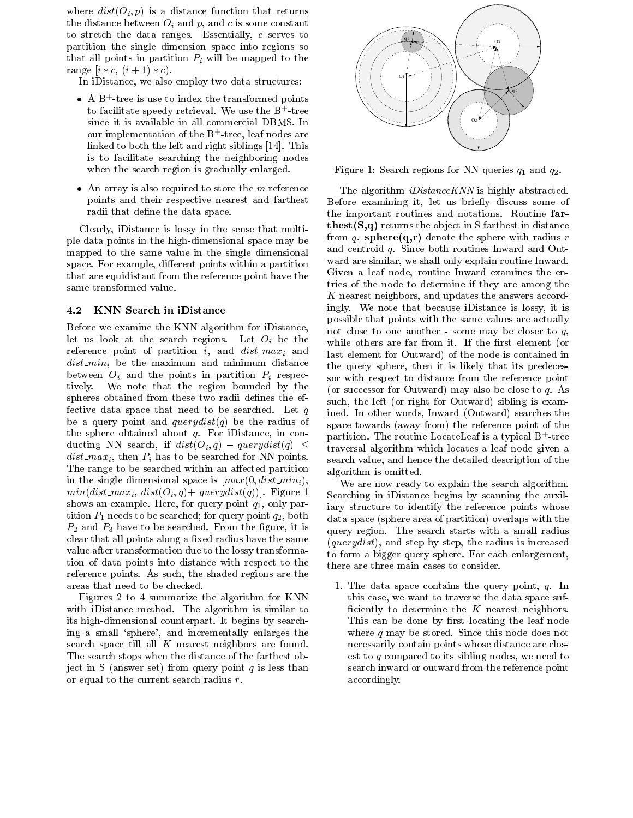where  $dist(O_i, p)$  is a distance function that returns the distance between  $O_i$  and p, and c is some constant to stretch the data ranges. Essentially, <sup>c</sup> serves to partition the single dimension space into regions so that all points in partition  $P_i$  will be mapped to the range  $|i * c, (i + 1) * c$ .

In iDistance, we also employ two data structures:

- A B -tree is use to index the transformed points  $\setminus$ to facilitate speedy retrieval. We use the B+tree  $\forall x$ since it is available in all commercial DBMS. In our implementation of the B+ -tree, leaf nodes are linked to both theleft and right siblings [14]. This is to facilitate searching the neighboring nodes when the search region is gradually enlarged.
- $\bullet$  An array is also required to store the m reference points and their respective nearest and farthest radii that define the data space.

Clearly, iDistance is lossy in the sense that multiple data points in the high-dimensional space may be mapped to the same value in the single dimensional space. For example, different points within a partition that are equidistant from the reference point have the same transformed value.

#### 4.2 KNN Search in iDistance

Before we examine the KNN algorithm for iDistance, let us look at the search regions. Let  $O_i$  be the reference point of partition i, and  $dist\_max_i$  and distribute the minimum and minimum and minimum and minimum and property with the m between  $O_i$  and the points in partition  $P_i$  respectively. We note that the region bounded by the spheres obtained from these two radii defines the effective data space that need to be searched. Let  $q$ be a query point and *querydist(q)* be the radius of the sphere obtained about  $q$ . For iDistance, in conducting NN search, if  $dist(O_i, q) - querydist(q) \leq$ dist maximum Pi has to be seen to be seen points. And the Valley of The range to be searched within an affected partition in the single dimensional space is  $(max(0, dist\_min_i),$  $min(dist\_max_i, dist(O_i, q) + querydist(q))$ . Figure 1 shows an example. Here, for query point  $q_1$ , only partition  $P_1$  needs to be searched; for query point  $q_2$ , both  $P_2$  and  $P_3$  have to be searched. From the figure, it is clear that all points along a fixed radius have the same value after transformation due to the lossy transformation of data points into distance with respect to the reference points. As such, the shaded regions are the areas that need to be checked.

Figures 2 to 4 summarize the algorithm for KNN with iDistance method. The algorithm is similar to its high-dimensional counterpart. It begins by searching a small `sphere', and incrementally enlarges the search space till all  $K$  nearest neighbors are found. The search stops when the distance of the farthest object in S (answer set) from query point q is less than or equal to the current search radius  $r$ .



Figure 1: Search regions for NN queries  $q_1$  and  $q_2$ .

The algorithm *iDistanceKNN* is highly abstracted. Before examining it, let us briefly discuss some of the important routines and notations. Routine farthest  $(S,q)$  returns the object in S farthest in distance from q. sphere(q,r) denote the sphere with radius r and centroid q. Since both routines Inward and Out ward are similar, we shall only explain routine Inward. Given a leaf node, routine Inward examines the entries of the node to determine if they are among the k a nearest neighbors, and up dates the answers accordingly. We note that because iDistance is lossy, it is possible that points with the same values are actually not close to one another - some may be closer to  $q$ , while others are far from it. If the first element (or last element for Outward) of the node is contained in the query sphere, then it is likely that its predecessor with respect to distance from the reference point (or successor for Outward) may also be close to  $q$ . As such, the left (or right for Outward) sibling is examined. In other words, Inward (Outward) searches the space towards (away from) the reference point of the partition. The routine LocateLeaf is a typical B+ -tree traversal algorithm which locates a leaf node given a search value, and hence the detailed description of the algorithm is omitted.

We are now ready to explain the search algorithm. Searching in iDistance begins by scanning the auxiliary structure to identify the reference points whose data space (sphere area of partition) overlaps with the query region. The search starts with a small radius  $(querydist)$ , and step by step, the radius is increased to form a bigger query sphere. For each enlargement, there are three main cases to consider.

1. The data space contains the query point,  $q$ . In this case, we want to traverse the data space suf ficiently to determine the  $K$  nearest neighbors. This can be done by first locating the leaf node where  $q$  may be stored. Since this node does not necessarily contain points whose distance are closest to  $q$  compared to its sibling nodes, we need to search inward or outward from the reference point accordingly.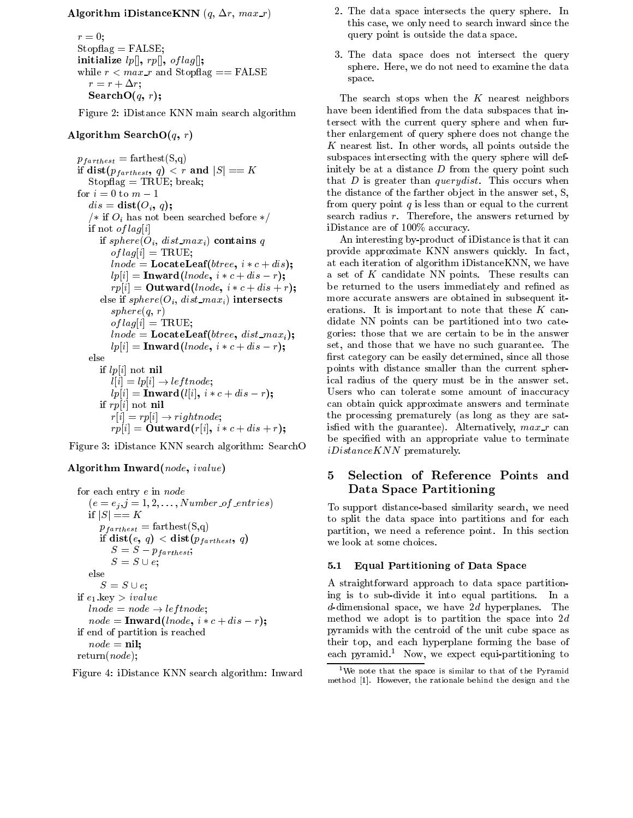r = 0;  $Stopflag = FALSE;$ initialize  $lp[], rp[], of lag[];$ while  $r < max_r$  and Stopflag = FALSE r = <sup>r</sup> + r; Search $O(q, r)$ ;

Figure 2: iDistance KNN main search algorithm

### Algorithm SearchO $(q, r)$

 $p_{farthest} =$  farthest  $(S,q)$ if dist $(p_{farthest}, q) < r$  and  $|S| == K$  $Stopflag = TRUE; break;$ for  $i = 0$  to  $m - 1$  $\cdots$  =  $\cdots$   $\cdots$   $\cdots$ /\* if  $O_i$  has not been searched before  $*/$ if not *of*  $\log[i]$ if  $sphere(O_i, dist\_max_i)$  contains q  $of lag[i] = \text{TRUE};$ lnode = LocateLeaf(btree, <sup>i</sup> <sup>c</sup> + dis);  $lp[i] = \text{Inward}(lnode, i * c + dis - r);$  $rp[i] =$  Outward(lnode,  $i * c + dis + r$ ); else if  $sphere(O_i, dist\_max_i)$  intersects  $sphere(q, r)$  $of lag[i] = \text{TRUE};$ lnode <sup>=</sup> LocateLeaf(btree, dist maxi);  $lp[i] = \text{Inward}(lnode, i * c + dis - r);$ else if  $lp[i]$  not nil  $l[i] = lp[i] \rightarrow leftnode;$  $lp[i] = \text{Inward}(l[i], i * c + dis - r);$ if  $rp[i]$  not nil  $r[i] = rp[i] \rightarrow rightnode;$  $rp[i] =$  Outward $(r[i], i * c + dis + r);$ 

Figure 3: iDistance KNN search algorithm: SearchO

# Algorithm Inward(node, ivalue)

```
for each entry e in node
   (e = e_j, j = 1, 2, \ldots, Number\_of\_entries)if |S| == Kp_{farthest} = farthest (S,q)if dist(e, q) < dist(p_{farthest}, q)
         S = S  pf arthest;
         S = S [ e;
   else
      S = S [ e;
if e_1 key >ivaluelnode = node \rightarrow left node,
   node = Invariant = Invariant = Invariant = Invariant = Invariant = Invariant = Invariant = Invariant = Invaria
if end of partition is reached
   node = nil; and = nil; and = nil; and = nil; and = nil; and = nil; and = nil; and = nil; and = nil; and = nil;
return(node);
```
Figure 4: iDistance KNN search algorithm: Inward

- 2. The data space intersects the query sphere. In this case, we only need to search inward since the query point is outside the data space.
- 3. The data space does not intersect the query sphere. Here, we do not need to examine the data space.

The search stops when the  $K$  nearest neighbors have been identified from the data subspaces that intersect with the current query sphere and when further enlargement of query sphere does not change the k nearest list. In our common words, all points outside the state of the common outside the common outside the subspaces intersecting with the query sphere will definitely be at a distance  $D$  from the query point such that  $D$  is greater than  $querydist$ . This occurs when the distance of the farther object in the answer set,  $S$ , from query point  $q$  is less than or equal to the current search radius  $r$ . Therefore, the answers returned by iDistance are of 100% accuracy.

An interesting by-product of iDistance isthat it can provide approximate KNN answers quickly. In fact, at each iteration of algorithm iDistanceKNN, we have a setof <sup>K</sup> candidate NN points. These results can be returned to the users immediately and refined as more accurate answers are obtained in subsequent iterations. It is important to note that these  $K$  candidate NN points can be partitioned into two categories: those that we are certain to be in the answer set, and those that we have no such guarantee. The first category can be easily determined, since all those points with distance smaller than the current spherical radius of the query must be in the answer set. Users who can tolerate some amount of inaccuracy can obtain quick approximate answers and terminate the processing prematurely (as long as they are satisfied with the guarantee). Alternatively,  $max_r$  can be specied with an appropriate value to terminate iDistanceKNN prematurely.

# 5 Selection of Reference Points and Data Space Partitioning

To support distance-based similarity search, we need to split the data space into partitions and for each partition, we need a reference point. In this section we look at some choices.

### 5.1 Equal Partitioning of Data Space

A straightforward approach to data space partitioning is to sub-divide it into equal partitions. In a d-dimensional space, we have 2d hyperplanes. The method we adopt is to partition the space into  $2d$ pyramids with the centroid of the unit cube space as their top, and each hyperplane forming the base of each pyramid.<sup>1</sup> Now, we expect equi-partitioning to

<sup>&</sup>lt;sup>1</sup>We note that the space is similar to that of the Pyramid method [1]. However, the rationale behind the design and the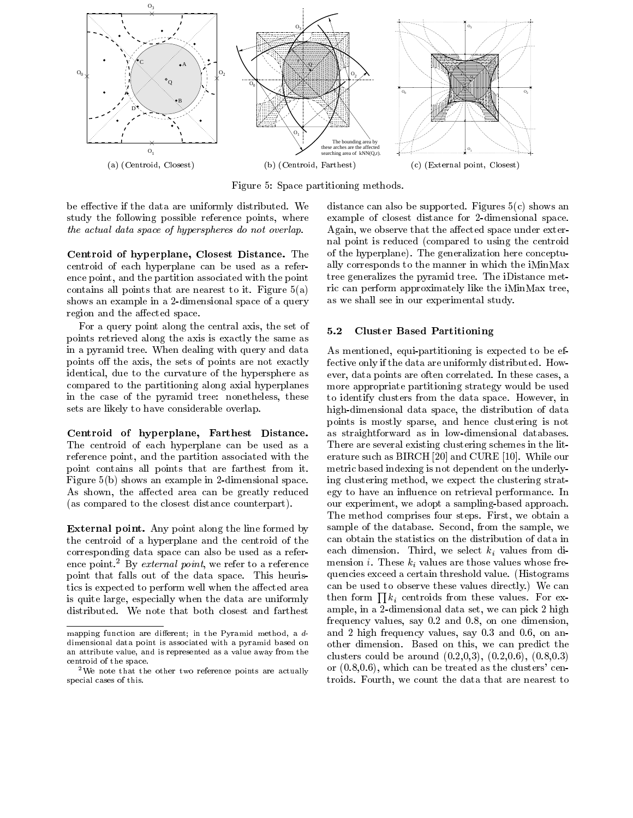

Figure 5: Space partitioning methods.

be effective if the data are uniformly distributed. We study the following possible reference points, where the actual data space of hyperspheres do not overlap.

Centroid of hyperplane, Closest Distance. The centroid of each hyperplane can be used as a reference point, and the partition associated with the point contains all points that are nearest to it. Figure  $5(a)$ shows an example in a 2-dimensional space of a query region and the affected space.

For a query point along the central axis, the set of  $5.2$ points retrieved along the axis is exactly the same as in a pyramid tree. When dealing with query and data points off the axis, the sets of points are not exactly identical, due to the curvature of the hypersphere as compared to the partitioning along axial hyperplanes in the case of the pyramid tree: nonetheless, these sets are likely to have considerable overlap.

Centroid of hyperplane, Farthest Distance. The centroid of each hyperplane can be used as a reference point, and the partition associated with the point contains all points that are farthest from it. Figure 5(b) shows an example in 2-dimensional space. As shown, the affected area can be greatly reduced (as compared to the closest distance counterpart).

External point. Any point along the line formed by the centroid of a hyperplane and the centroid of the corresponding data space can also be used as a reference point.<sup>2</sup> By *external point*, we refer to a reference point that falls out of the data space. This heuristics is expected to perform well when the affected area is quite large, especially when the data are uniformly distributed. We note that both closest and farthest

distance can also be supported. Figures  $5(c)$  shows an example of closest distance for 2-dimensional space. Again, we observe that the affected space under external point is reduced (compared to using the centroid of the hyperplane). The generalization here conceptually corresponds to the manner in which the iMinMax tree generalizes the pyramid tree. The iDistance metric can perform approximately like the iMinMax tree, as we shall see in our experimental study.

#### 5.2 Cluster Based Partitioning

As mentioned, equi-partitioning is expected to be effective only if the data are uniformly distributed. How ever, data points are often correlated. In these cases, a more appropriate partitioning strategy would be used to identify clusters from the data space. However, in high-dimensional data space, the distribution of data points is mostly sparse, and hence clustering is not as straightforward as in low-dimensional databases. There are several existing clustering schemes in the literature such as BIRCH [20] and CURE [10]. While our metric based indexing is not dependent on the underlying clustering method, we expect the clustering strategy to have an influence on retrieval performance. In our experiment, we adopt a sampling-based approach. The method comprises four steps. First, we obtain a sample of the database. Second, from the sample, we can obtain the statistics on the distribution of data in each dimension. Third, we select  $k_i$  values from dimension *i*. These  $k_i$  values are those values whose frequencies exceed a certain threshold value. (Histograms can be used to observe these values directly.) We can then form  $\prod k_i$  centroids from these values. For example, in a 2-dimensional data set, we can pick 2 high frequency values, say 0.2 and 0.8, on one dimension, and 2 high frequency values, say 0.3 and 0.6, on another dimension. Based on this, we can predict the clusters could be around  $(0.2,0,3)$ ,  $(0.2,0.6)$ ,  $(0.8,0.3)$ or (0.8,0.6), which can be treated as the clusters' centroids. Fourth, we count the data that are nearest to

mapping function are different; in the Pyramid method, a  $d$ dimensional data point is associated with a pyramid based on an attribute value, and is represented as a value away from the centroid of the space.

<sup>&</sup>lt;sup>2</sup>We note that the other two reference points are actually special cases of this.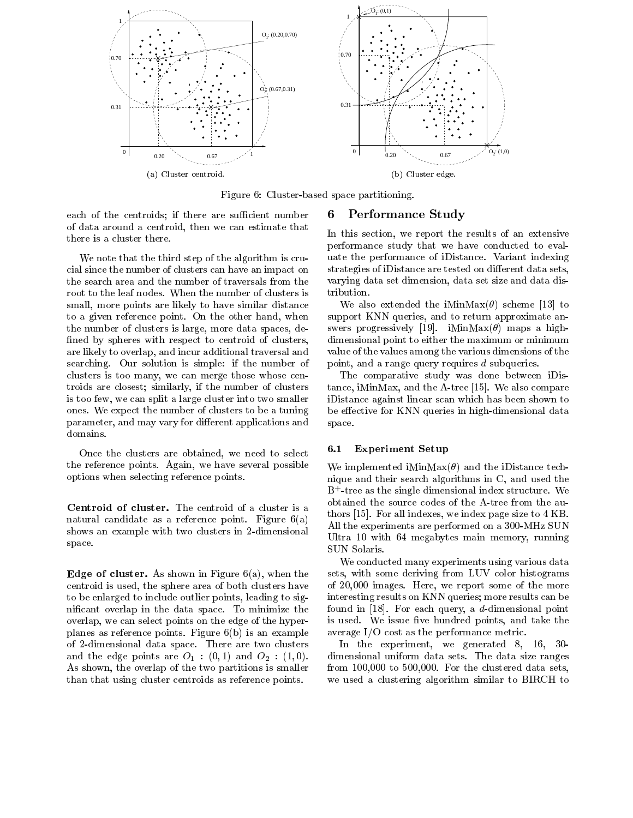

Figure 6: Cluster-based space partitioning.

each of the centroids; if there are sufficient number  $\mathbf{6}$ of data around a centroid, then we can estimate that there is a cluster there.

We note that the third step of the algorithm is crucial since the number of clusters can have an impact on the search area and the number of traversals from the root to the leaf nodes. When the number of clusters is small, more points are likely to have similar distance to a given reference point. On the other hand, when the number of clusters is large, more data spaces, de fined by spheres with respect to centroid of clusters, are likely to overlap, and incur additional traversal and searching. Our solution is simple: if the number of clusters is too many, we can merge those whose centroids are closest; similarly, if the number of clusters is too few, we can split a large cluster into two smaller ones. We expect the number of clusters to be a tuning parameter, and may vary for different applications and domains.

Once the clusters are obtained, we need to select the reference points. Again, we have several possible options when selecting reference points.

Centroid of cluster. The centroid of a cluster is a natural candidate as a reference point. Figure  $6(a)$ shows an example with two clusters in 2-dimensional space.

Edge of cluster. As shown in Figure  $6(a)$ , when the centroid is used, the sphere area of both clusters have to be enlarged to include outlier points, leading to signicant overlap in the data space. To minimize the overlap, we can select points on the edge of the hyperplanes as reference points. Figure 6(b) is an example of 2-dimensional data space. There are two clusters and the edge points are  $O_1$ :  $(0,1)$  and  $O_2$ :  $(1,0)$ . As shown, the overlap of the two partitions is smaller than that using cluster centroids as reference points.

#### Performance Study

In this section, we report the results of an extensive performance study that we have conducted to evaluate the performance of iDistance. Variant indexing strategies of iDistance are tested on different data sets, varying data set dimension, data set size and data distribution.

We also extended the iMinMax $(\theta)$  scheme [13] to support KNN queries, and to return approximate answers progressively [19]. iMinMax $(\theta)$  maps a highdimensional point to either the maximum or minimum value of the values among the various dimensions of the point, and a range query requires  $d$  subqueries.

The comparative study was done between iDistance, iMinMax, and theA-tree [15]. We also compare iDistance against linear scan which has been shown to be effective for KNN queries in high-dimensional data space.

#### 6.1 Experiment Setup

We implemented iMinMax $(\theta)$  and the iDistance technique and their search algorithms in C, and used the B<sup>+</sup> -tree as the single dimensional index structure. We obtained the source codes of the A-tree from the authors [15]. For all indexes, we index page size to 4 KB. All the experiments are performed on a300-MHz SUN Ultra 10 with 64 megabytes main memory, running SUN Solaris.

We conducted many experiments using various data sets, with some deriving from LUV color histograms of 20,000 images. Here, we report some of the more interesting results on KNN queries; more results can be found in  $[18]$ . For each query, a d-dimensional point is used. We issue five hundred points, and take the average I/O cost as the performance metric.

In the experiment, we generated 8, 16, 30 dimensional uniform data sets. The data size ranges from 100,000 to 500,000. For the clustered data sets, we used a clustering algorithm similar to BIRCH to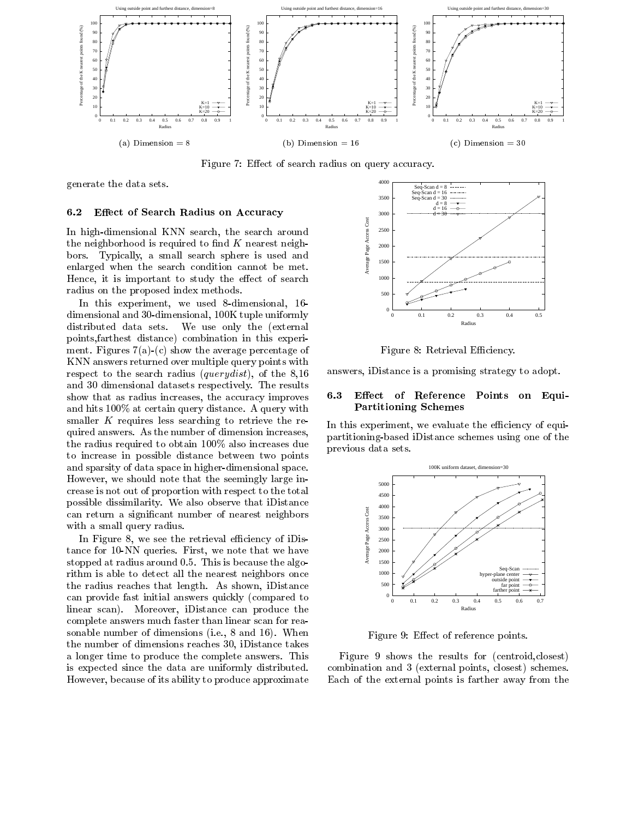

Figure 7: Effect of search radius on query accuracy.

generate the data sets.

#### 6.2 Effect of Search Radius on Accuracy

In high-dimensional KNN search, the search around<br>the neighborhood is required to find K nearest neighbors. Typically, a small search sphere is used and<br>enlarged when the search condition cannot be met. the neighborhood is required to find  $K$  nearest neighbors. Typically, a small search sphere is used and enlarged when the search condition cannot be met. Hence, it is important to study the effect of search radius on the proposed index methods.

In this experiment, we used 8-dimensional, 16 dimensional and 30-dimensional, 100K tuple uniformly distributed data sets. We use only the (external points,farthest distance) combination in this experiment. Figures  $7(a)-(c)$  show the average percentage of KNN answers returned over multiple query points with respect to the search radius (querydist), of the 8,16 and 30 dimensional datasets respectively. The results show that as radius increases, the accuracy improves and hits 100% at certain query distance. A query with smaller  $K$  requires less searching to retrieve the required answers. As the number of dimension increases, the radius required to obtain 100% also increases due to increase in possible distance between two points and sparsity of data space in higher-dimensional space. However, we should note that the seemingly large increase is not out of proportion with respect to the total possible dissimilarity. We also observe that iDistance<br>can return a significant number of nearest neighbors with a small query radius.

can return a significant number of nearest neighbors<br>with a small query radius.<br>In Figure 8, we see the retrieval efficiency of iDis-<br>tance for 10-NN queries. First, we note that we have<br>the player of the step of the step In Figure 8, we see the retrieval efficiency of iDistance for 10-NN queries. First, we note that we have stopped at radius around 0.5. This is because the algorithm is able to detect all the nearest neighbors once the radius reaches that length. As shown, iDistance can provide fast initial answers quickly (compared to linear scan). Moreover, iDistance can produce the complete answers much faster than linear scan for reasonable number of dimensions (i.e., 8 and 16). When the number of dimensions reaches 30, iDistance takes a longer time to produce the complete answers. This is expected since the data are uniformly distributed. However, because of its ability to produce approximate



Figure 8: Retrieval Efficiency.

answers, iDistance is a promising strategy to adopt.

#### 6.3 Effect of Reference Points on Equi-Partitioning Schemes

In this experiment, we evaluate the efficiency of equipartitioning-based iDistance schemes using one of the previous data sets.



Figure 9: Effect of reference points.

Figure 9 shows the results for (centroid,closest) combination and 3(external points, closest) schemes. Each of the external points is farther away from the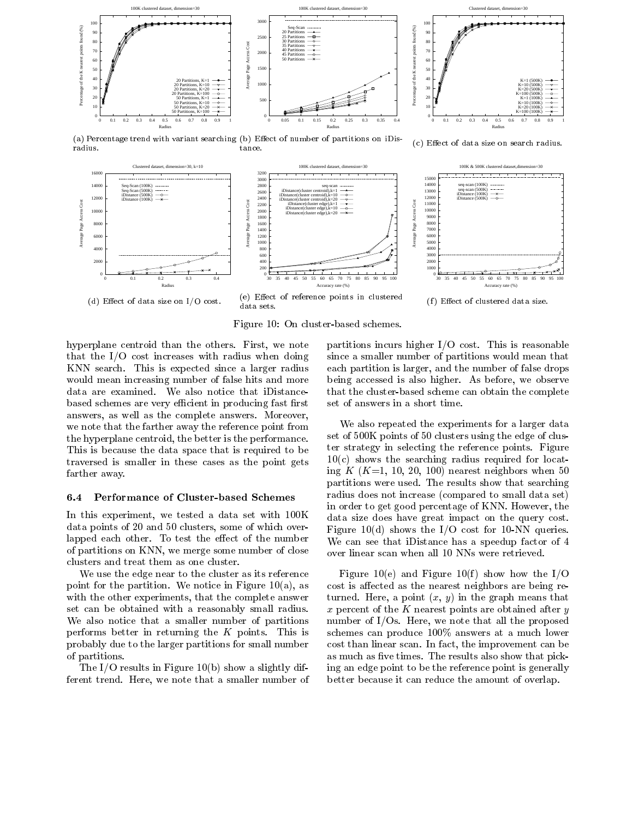



(c) Effect of data size on search radius.

(b) Percentage trend with variant searching with variant searching  $\mathcal{L}$  extends on iDis-band searching on iDis-band searching on iDis-band searching on iDis-band searching on iDis-band searching on iDis-band searching radius.



Figure 10: On cluster-based schemes.

hyperplane centroid than the others. First, we note that the I/O cost increases with radius when doing KNN search. This is expected since a larger radius would mean increasing number of false hits and more data are examined. We also notice that iDistancebased schemes are very efficient in producing fast first answers, as well as the complete answers. Moreover, we note that the farther away the reference point from the hyperplane centroid, the better is the performance. This is because the data space that is required to be traversed is smaller in these cases as the point gets farther away.

#### 6.4 Performance of Cluster-based Schemes

In this experiment, we tested a data set with  $100K$ data points of 20 and 50 clusters, some of which overlapped each other. To test the effect of the number of partitions on KNN, we merge some number of close clusters and treat them as one cluster.

We use the edge near to the cluster as its reference point for the partition. We notice in Figure  $10(a)$ , as with the other experiments, that the complete answer set can be obtained with a reasonably small radius. We also notice that a smaller number of partitions performs better in returning the  $K$  points. This is probably due to the larger partitions for small number of partitions.

The I/O results in Figure 10(b) show a slightly different trend. Here, we note that a smaller number of partitions incurs higher  $I/O$  cost. This is reasonable since a smaller number of partitions would mean that each partition is larger, and the number of false drops being accessed is also higher. As before, we observe that the cluster-based scheme can obtain thecomplete set of answers in ashort time.

We also repeated the experiments for a larger data set of 500K points of 50 clusters using the edge of cluster strategy in selecting the reference points. Figure  $10(c)$  shows the searching radius required for locating K  $(K=1, 10, 20, 100)$  nearest neighbors when 50 partitions were used. The results show that searching radius does not increase (compared to small data set) in order to get good percentage of KNN. However, the data size does have great impact on the query cost. Figure 10(d) shows the  $I/O$  cost for 10-NN queries. We can see that iDistance has a speedup factor of 4 over linear scan when all 10 NNs were retrieved.

Figure 10(e) and Figure 10(f) show how the I/O cost is affected as the nearest neighbors are being returned. Here, a point  $(x, y)$  in the graph means that x percent of the K nearest points are obtained after y number of I/Os. Here, we note that all the proposed schemes can produce 100% answers at a much lower cost than linear scan. In fact, the improvement can be as much as five times. The results also show that picking an edge point to be the reference point is generally better because it can reduce the amount of overlap.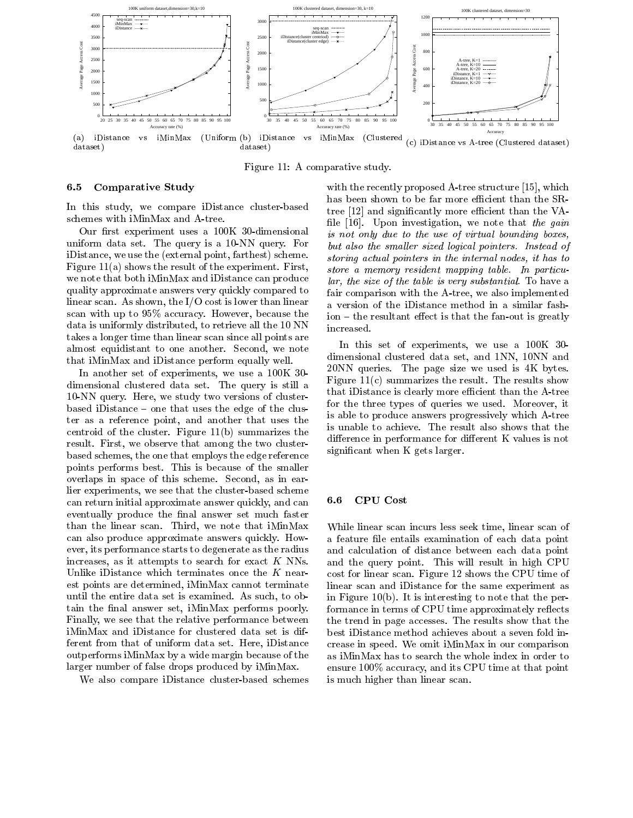![](_page_8_Figure_0.jpeg)

Figure 11: A comparative study.

#### 6.5 Comparative Study

In this study, we compare iDistance cluster-based schemes with iMinMax and A-tree.

Our first experiment uses a 100K 30-dimensional uniform data set. The query is a 10-NN query. For iDistance, we use the (external point, farthest) scheme. Figure 11(a) shows the result of the experiment. First, we note that both iMinMax and iDistance can produce quality approximate answers very quickly compared to linear scan. As shown, the I/O cost is lower than linear scan with up to 95% accuracy. However, because the data is uniformly distributed, to retrieve all the 10 NN takes a longer time than linear scan since all points are almost equidistant to one another. Second, we note that iMinMax and iDistance perform equally well.

In another set of experiments, we use a 100K 30 dimensional clustered data set.The query is still a 10-NN query. Here, we study two versions of clusterbased iDistance  $-$  one that uses the edge of the cluster as a reference point, and another that uses the centroid of the cluster. Figure 11(b) summarizes the result. First, we observe that among the two clusterbased schemes, the one that employs the edge reference points performs best. This is because of the smaller overlaps in space of this scheme. Second, as in earlier experiments, we see that the cluster-based scheme<br>can return initial approximate answer quickly and can 6.6 can return initial approximate answer quickly, and can eventually produce the final answer set much faster than the linear scan. Third, we note that iMinMax can also produce approximate answers quickly. How ever, its performance starts to degenerate as the radius increases, as it attempts to search for exact  $K$  NNs. Unlike iDistance which terminates once the  $K$  nearest points are determined, iMinMax cannot terminate until the entire data set is examined. As such, to obtain the final answer set, iMinMax performs poorly. Finally, we see that the relative performance between iMinMax and iDistance for clustered data setis different from that of uniform data set. Here, iDistance outperforms iMinMax by a wide margin because of the larger number of false drops produced by iMinMax.

We also compare iDistance cluster-based schemes

with the recently proposed A-tree structure [15], which has been shown to be far more efficient than the SRtree  $[12]$  and significantly more efficient than the VAfile  $[16]$ . Upon investigation, we note that the gain is not only due to the use of virtual bounding boxes, but also the smaller sized logical pointers. Instead of storing actual pointers in the internal nodes, it has to store <sup>a</sup> memory resident mapping table. In particular, the size of the table is very substantial. To have a fair comparison with theA-tree, we also implemented a version of the iDistance method in a similar fash $ion - the resultant effect is that the fan-out is greatly$ increased.

In this set of experiments, we use a 100K 30 dimensional clustered data set, and 1NN, 10NN and 20NN queries. The page size we used is 4K bytes. Figure  $11(c)$  summarizes the result. The results show that iDistance is clearly more efficient than the A-tree for the three types of queries we used. Moreover, it is able to produce answers progressively which A-tree is unable to achieve. The result also shows that the difference in performance for different K values is not significant when K gets larger.

#### 6.6 CPU Cost

While linear scan incurs less seek time, linear scan of a feature file entails examination of each data point and calculation of distance between each data point and the query point. This will result in high CPU cost for linear scan. Figure 12 shows the CPU time of linear scan and iDistance for the same experiment as in Figure 10(b). It is interesting to note that the performance in terms of CPU time approximately reflects the trend in page accesses. The results show that the best iDistance method achieves about a seven fold increase in speed. We omit iMinMax in our comparison as iMinMax has to search thewhole index in order to ensure 100% accuracy, and its CPU time at that point is much higher than linear scan.